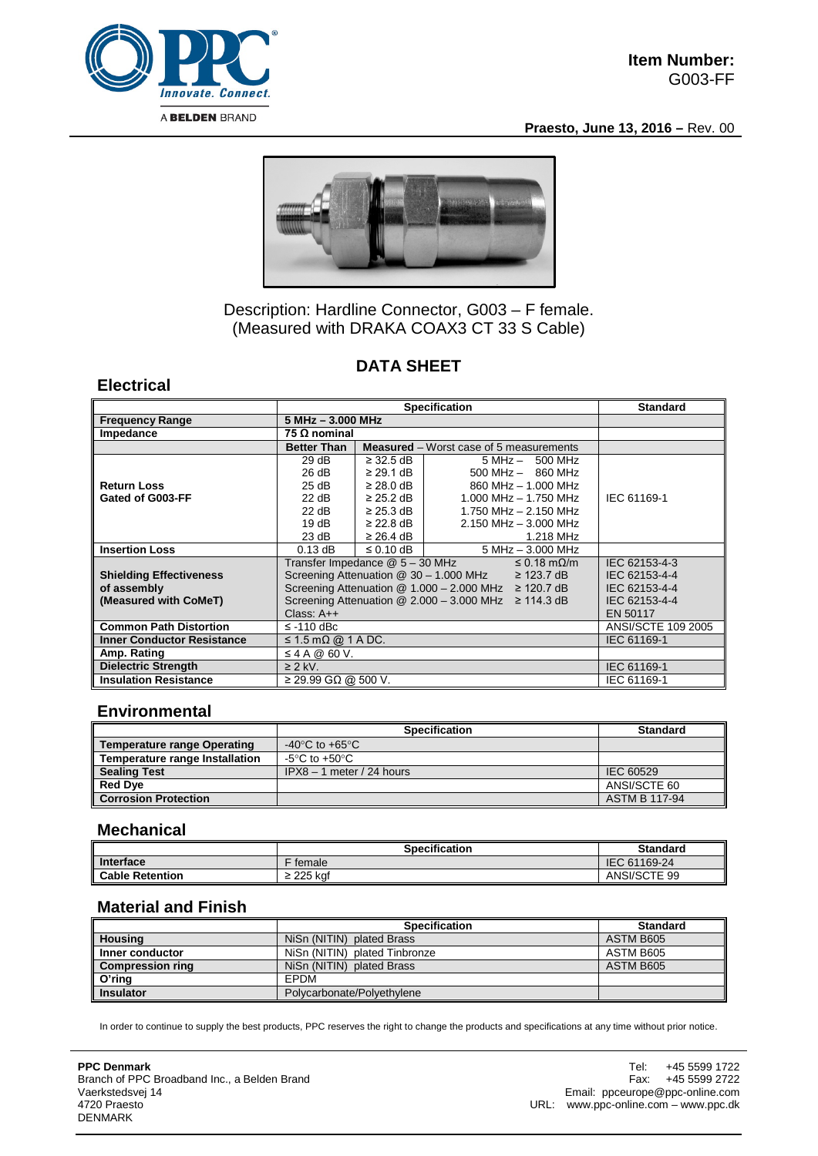

**Praesto, June 13, 2016 –** Rev. 00



# Description: Hardline Connector, G003 – F female. (Measured with DRAKA COAX3 CT 33 S Cable)

# **DATA SHEET**

### **Electrical**

|                                   | <b>Specification</b>                                                     |                     |                                                | <b>Standard</b>    |
|-----------------------------------|--------------------------------------------------------------------------|---------------------|------------------------------------------------|--------------------|
| <b>Frequency Range</b>            |                                                                          | $5 MHz - 3.000 MHz$ |                                                |                    |
| Impedance                         | 75 Ω nominal                                                             |                     |                                                |                    |
|                                   | <b>Better Than</b>                                                       |                     | <b>Measured</b> – Worst case of 5 measurements |                    |
|                                   | 29dB                                                                     | $\geq$ 32.5 dB      | $5 MHz - 500 MHz$                              |                    |
|                                   | 26 dB                                                                    | $\geq$ 29.1 dB      | $500$ MHz $-$ 860 MHz                          |                    |
| <b>Return Loss</b>                | 25 dB                                                                    | $\geq$ 28.0 dB      | 860 MHz - 1.000 MHz                            |                    |
| Gated of G003-FF                  | 22 dB                                                                    | $\geq$ 25.2 dB      | 1.000 MHz $-$ 1.750 MHz                        | IEC 61169-1        |
|                                   | 22 dB                                                                    | $\geq$ 25.3 dB      | 1.750 MHz - 2.150 MHz                          |                    |
|                                   | 19 $dB$                                                                  | $\geq$ 22.8 dB      | $2.150$ MHz $- 3.000$ MHz                      |                    |
|                                   | 23 dB                                                                    | $\geq$ 26.4 dB      | 1.218 MHz                                      |                    |
| <b>Insertion Loss</b>             | $0.13$ dB                                                                | $\leq$ 0.10 dB      | $5 MHz - 3.000 MHz$                            |                    |
|                                   | Transfer Impedance @ 5 - 30 MHz<br>$\leq$ 0.18 m $\Omega$ /m             |                     |                                                | IEC 62153-4-3      |
| <b>Shielding Effectiveness</b>    | Screening Attenuation @ 30 - 1.000 MHz<br>$\geq$ 123.7 dB                |                     |                                                | IEC 62153-4-4      |
| of assembly                       | Screening Attenuation $@ 1.000 - 2.000$ MHz $\geq 120.7$ dB              |                     |                                                | IEC 62153-4-4      |
| (Measured with CoMeT)             | Screening Attenuation $@ 2.000 - 3.000 \text{ MHz} \ge 114.3 \text{ dB}$ |                     |                                                | IEC 62153-4-4      |
|                                   | Class: $A++$                                                             |                     |                                                | EN 50117           |
| <b>Common Path Distortion</b>     | $\le$ -110 dBc                                                           |                     |                                                | ANSI/SCTE 109 2005 |
| <b>Inner Conductor Resistance</b> | $\leq$ 1.5 m $\Omega$ @ 1 A DC.                                          |                     |                                                | IEC 61169-1        |
| Amp. Rating                       | $\leq$ 4 A @ 60 V.                                                       |                     |                                                |                    |
| <b>Dielectric Strength</b>        | $\geq$ 2 kV.                                                             |                     |                                                | IEC 61169-1        |
| <b>Insulation Resistance</b>      | $≥$ 29.99 GΩ @ 500 V.                                                    |                     |                                                | IEC 61169-1        |

### **Environmental**

|                                    | <b>Specification</b>        | <b>Standard</b>      |
|------------------------------------|-----------------------------|----------------------|
| <b>Temperature range Operating</b> | -40°C to +65°C              |                      |
| Temperature range Installation     | -5°C to +50°C.              |                      |
| <b>Sealing Test</b>                | $IPX8 - 1$ meter / 24 hours | IEC 60529            |
| <b>Red Dye</b>                     |                             | ANSI/SCTE 60         |
| <b>Corrosion Protection</b>        |                             | <b>ASTM B 117-94</b> |

#### **Mechanical**

|                        | <b>Specification</b> | <b>Standard</b> |
|------------------------|----------------------|-----------------|
| Interface              | female               | IEC 61169-24    |
| <b>Cable Retention</b> | ≥ 225 kaf            | ANSI/SCTE 99    |

### **Material and Finish**

|                         | <b>Specification</b>          | <b>Standard</b> |
|-------------------------|-------------------------------|-----------------|
| <b>Housing</b>          | NiSn (NITIN) plated Brass     | ASTM B605       |
| Inner conductor         | NiSn (NITIN) plated Tinbronze | ASTM B605       |
| <b>Compression ring</b> | NiSn (NITIN) plated Brass     | ASTM B605       |
| O'ring                  | EPDM                          |                 |
| <b>Insulator</b>        | Polycarbonate/Polyethylene    |                 |

In order to continue to supply the best products, PPC reserves the right to change the products and specifications at any time without prior notice.